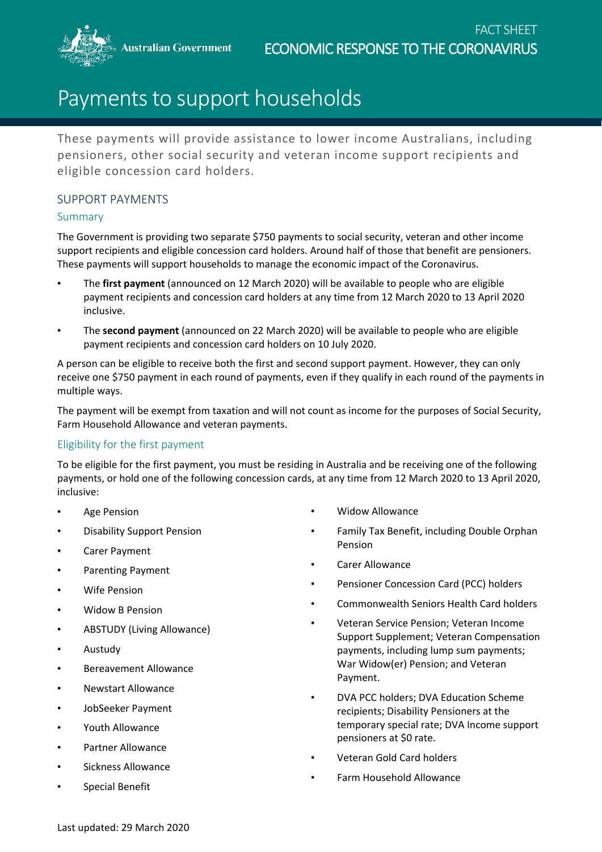**Australian Government** 



# Payments to support households

These payments will provide assistance to lower income Australians, including pensioners, other social security and veteran income support recipients and eligible concession card holders.

## SUPPORT PAYMENTS

### Summary

The Government is providing two separate \$750 payments to social security, veteran and other income support recipients and eligible concession card holders. Around half of those that benefit are pensioners. These payments will support households to manage the economic impact of the Coronavirus.

- The **first payment** (announced on 12 March 2020) will be available to people who are eligible payment recipients and concession card holders at any time from 12 March 2020 to 13 April 2020 inclusive.
- The **second payment** (announced on 22 March 2020) will be available to people who are eligible payment recipients and concession card holders on 10 July 2020.

A person can be eligible to receive both the first and second support payment. However, they can only receive one \$750 payment in each round of payments, even if they qualify in each round of the payments in multiple ways.

The payment will be exempt from taxation and will not count as income for the purposes of Social Security, Farm Household Allowance and veteran payments.

# Eligibility for the first payment

To be eligible for the first payment, you must be residing in Australia and be receiving one of the following payments, or hold one of the following concession cards, at any time from 12 March 2020 to 13 April 2020, inclusive:

- **Age Pension**
- Disability Support Pension
- Carer Payment
- Parenting Payment
- Wife Pension
- Widow B Pension
- ABSTUDY (Living Allowance)
- Austudy
- Bereavement Allowance
- Newstart Allowance
- JobSeeker Payment
- Youth Allowance
- Partner Allowance
- Sickness Allowance
- Special Benefit
- Widow Allowance
- Family Tax Benefit, including Double Orphan Pension
- Carer Allowance
- Pensioner Concession Card (PCC) holders
- Commonwealth Seniors Health Card holders
- Veteran Service Pension; Veteran Income Support Supplement; Veteran Compensation payments, including lump sum payments; War Widow(er) Pension; and Veteran Payment.
- DVA PCC holders; DVA Education Scheme recipients; Disability Pensioners at the temporary special rate; DVA Income support pensioners at \$0 rate.
- Veteran Gold Card holders
- Farm Household Allowance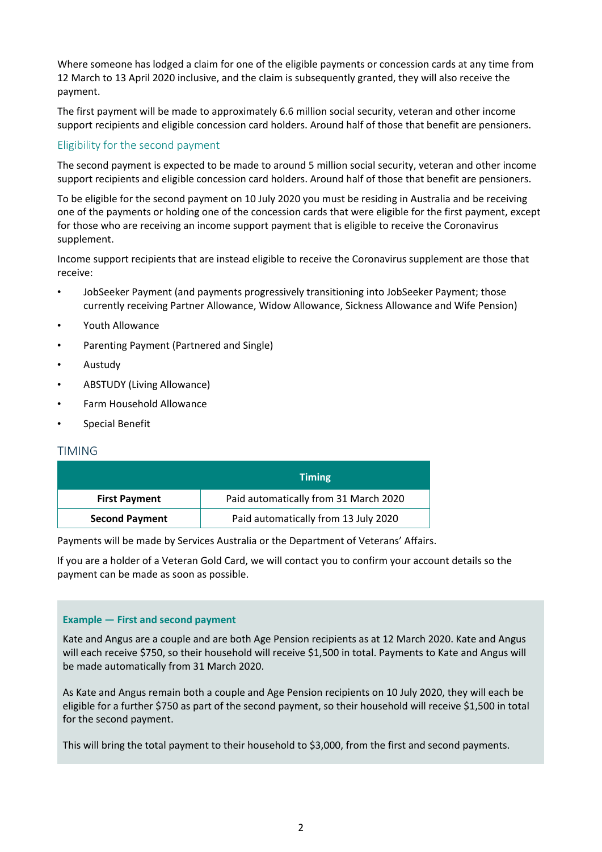Where someone has lodged a claim for one of the eligible payments or concession cards at any time from 12 March to 13 April 2020 inclusive, and the claim is subsequently granted, they will also receive the payment.

The first payment will be made to approximately 6.6 million social security, veteran and other income support recipients and eligible concession card holders. Around half of those that benefit are pensioners.

#### Eligibility for the second payment

The second payment is expected to be made to around 5 million social security, veteran and other income support recipients and eligible concession card holders. Around half of those that benefit are pensioners.

To be eligible for the second payment on 10 July 2020 you must be residing in Australia and be receiving one of the payments or holding one of the concession cards that were eligible for the first payment, except for those who are receiving an income support payment that is eligible to receive the Coronavirus supplement.

Income support recipients that are instead eligible to receive the Coronavirus supplement are those that receive:

- JobSeeker Payment (and payments progressively transitioning into JobSeeker Payment; those currently receiving Partner Allowance, Widow Allowance, Sickness Allowance and Wife Pension)
- Youth Allowance
- Parenting Payment (Partnered and Single)
- Austudy
- ABSTUDY (Living Allowance)
- Farm Household Allowance
- Special Benefit

#### TIMING

|                       | <b>Timing</b>                         |  |  |
|-----------------------|---------------------------------------|--|--|
| <b>First Payment</b>  | Paid automatically from 31 March 2020 |  |  |
| <b>Second Payment</b> | Paid automatically from 13 July 2020  |  |  |

Payments will be made by Services Australia or the Department of Veterans' Affairs.

If you are a holder of a Veteran Gold Card, we will contact you to confirm your account details so the payment can be made as soon as possible.

#### **Example — First and second payment**

Kate and Angus are a couple and are both Age Pension recipients as at 12 March 2020. Kate and Angus will each receive \$750, so their household will receive \$1,500 in total. Payments to Kate and Angus will be made automatically from 31 March 2020.

As Kate and Angus remain both a couple and Age Pension recipients on 10 July 2020, they will each be eligible for a further \$750 as part of the second payment, so their household will receive \$1,500 in total for the second payment.

This will bring the total payment to their household to \$3,000, from the first and second payments.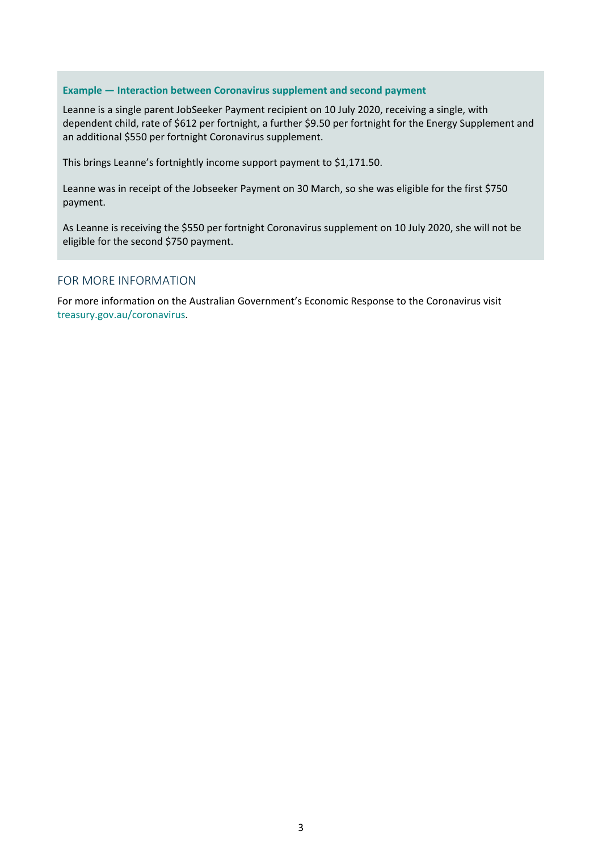#### **Example — Interaction between Coronavirus supplement and second payment**

Leanne is a single parent JobSeeker Payment recipient on 10 July 2020, receiving a single, with dependent child, rate of \$612 per fortnight, a further \$9.50 per fortnight for the Energy Supplement and an additional \$550 per fortnight Coronavirus supplement.

This brings Leanne's fortnightly income support payment to \$1,171.50.

Leanne was in receipt of the Jobseeker Payment on 30 March, so she was eligible for the first \$750 payment.

As Leanne is receiving the \$550 per fortnight Coronavirus supplement on 10 July 2020, she will not be eligible for the second \$750 payment.

#### FOR MORE INFORMATION

For more information on the Australian Government's Economic Response to the Coronavirus visit [treasury.gov.au/coronavirus.](https://treasury.gov.au/coronavirus)